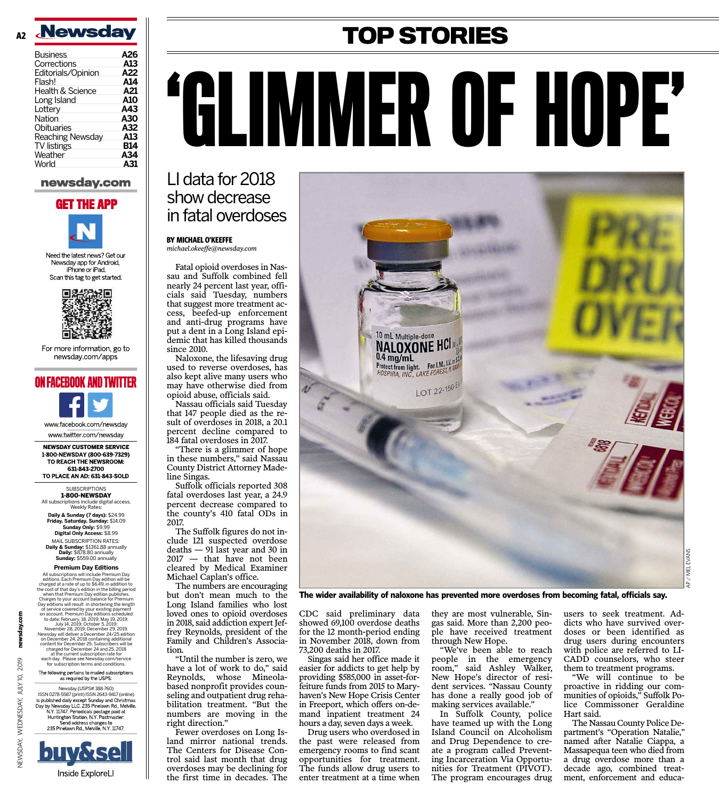

| Business           | A26 |
|--------------------|-----|
| Corrections        | A13 |
| Editorials/Opinion | A22 |
| Flash!             | A14 |
| Health & Science   | A21 |
| Long Island        | A10 |
| Lottery            | A43 |
| Nation             | A30 |
| Obituaries         | A32 |
| Reaching Newsday   | A13 |
| <b>TV</b> listings | B14 |
| Weather            | A34 |
| World              | A31 |
|                    |     |

#### newsday.com

### **GET THE APP**



Need the latest news? Get our Newsday app for Android. iPhone or iPad. Scan this tag to get started.



For more information, go to newsday.com/apps





www.twitter.com/newsday

**NEWSDAY CUSTOMER SERVICE<br>1-800-NEWSDAY (800-639-7329)** TO REACH THE NEWSROOM: 631-843-2700 TO PLACE AN AD: 631-843-SOLD

> **SUBSCRIPTIONS** 1-800-NEWSDAY

All subscriptions include digital access. Weekly Rates:

**Daily & Sunday (7 days):** \$24.99 **Friday, Saturday, Sunday:** \$14.09 **Sunday Only:** \$9.99 **Digital Only Access:** \$8.99 MAIL SUBSCRIPTION RATES: **Daily & Sunday:** \$1361.88 annually **Daily:** \$878.80 annually **Sunday:** \$559.00 annually

#### **Premium Day Editions**

All subscriptions will include Premium Day editions. Each Premium Day edition will be charged at a rate of up to \$6.49, in addition to the cost of that day's edition in the billing period<br>when that Premium Day edition publishes.<br>Charges to your account balance for Premium<br>Day editions will result in shortening the length of service covered by your existing payment<br>on account. Premium Day editions scheduled<br>to date: February, 18, 2019; May 19, 2019;<br>July 14, 2019; October 5, 2019;<br>November 28, 2019; December 29, 2019.<br>Newsday will deliver a at the current subscription rate for each day. Please see Newsday.com/service for subscription terms and conditions. The following pertains to mailed subscriptions as required by the USPS:

newsday.com

2019

 $\overline{Q}$ 

WEDNESDAY, JULY

**JEWSDAY,** 

Newsday (USPS# 388-760) ISSN 0278-5587 (print) ISSN 2643-9417 (online)<br>
is published daily except Sunday and Christmas<br>
Day by Newsday LLC, 235 Pinelawm Rd. Melville,<br>
N.Y. 11747. Periodicals postage paid at<br>
Huntighton Staton, N.Y. Postmaster:<br>



# **TOP STORIES** 'GLIMMER OF HOPE'

## LI data for 2018 show decrease in fatal overdoses

#### **BY MICHAEL O'KEEFFE** *michael.okeeffe@newsday.com*

Fatal opioid overdoses in Nassau and Suffolk combined fell nearly 24 percent last year, officials said Tuesday, numbers that suggest more treatment access, beefed-up enforcement and anti-drug programs have put a dent in a Long Island epidemic that has killed thousands since 2010.

Naloxone, the lifesaving drug used to reverse overdoses, has also kept alive many users who may have otherwise died from opioid abuse, officials said.

Nassau officials said Tuesday that 147 people died as the result of overdoses in 2018, a 20.1 percent decline compared to 184 fatal overdoses in 2017.

"There is a glimmer of hope in these numbers," said Nassau County District Attorney Madeline Singas.

Suffolk officials reported 308 fatal overdoses last year, a 24.9 percent decrease compared to the county's 410 fatal ODs in 2017.

The Suffolk figures do not include 121 suspected overdose deaths — 91 last year and 30 in 2017 — that have not been cleared by Medical Examiner Michael Caplan's office.

The numbers are encouraging but don't mean much to the Long Island families who lost loved ones to opioid overdoses in 2018, said addiction expert Jeffrey Reynolds, president of the Family and Children's Association.

"Until the number is zero, we have a lot of work to do," said Reynolds, whose Mineolabased nonprofit provides counseling and outpatient drug rehabilitation treatment. "But the numbers are moving in the right direction."

Fewer overdoses on Long Island mirror national trends. The Centers for Disease Control said last month that drug overdoses may be declining for the first time in decades. The



**The wider availability of naloxone has prevented more overdoses from becoming fatal, officials say.**

CDC said preliminary data showed 69,100 overdose deaths for the 12 month-period ending in November 2018, down from 73,200 deaths in 2017.

Singas said her office made it easier for addicts to get help by providing \$585,000 in asset-forfeiture funds from 2015 to Maryhaven's New Hope Crisis Center in Freeport, which offers on-demand inpatient treatment 24 hours a day, seven days a week.

Drug users who overdosed in the past were released from emergency rooms to find scant opportunities for treatment. The funds allow drug users to enter treatment at a time when

they are most vulnerable, Singas said. More than 2,200 people have received treatment through New Hope.

"We've been able to reach people in the emergency room," said Ashley Walker, New Hope's director of resident services. "Nassau County has done a really good job of making services available."

In Suffolk County, police have teamed up with the Long Island Council on Alcoholism and Drug Dependence to create a program called Preventing Incarceration Via Opportunities for Treatment (PIVOT). The program encourages drug users to seek treatment. Addicts who have survived overdoses or been identified as drug users during encounters with police are referred to LI-CADD counselors, who steer them to treatment programs.

"We will continue to be proactive in ridding our communities of opioids," Suffolk Police Commissoner Geraldine Hart said.

The Nassau County Police Department's "Operation Natalie," named after Natalie Ciappa, a Massapequa teen who died from a drug overdose more than a decade ago, combined treatment, enforcement and educa-